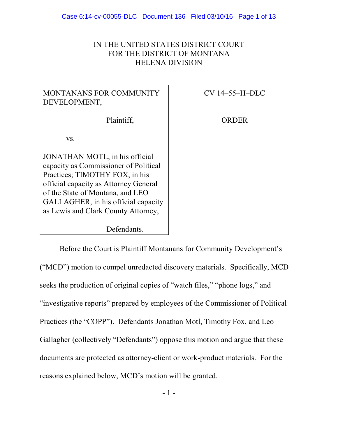## IN THE UNITED STATES DISTRICT COURT FOR THE DISTRICT OF MONTANA HELENA DIVISION

# MONTANANS FOR COMMUNITY DEVELOPMENT,

CV 14–55–H–DLC

Plaintiff,

ORDER

vs.

JONATHAN MOTL, in his official capacity as Commissioner of Political Practices; TIMOTHY FOX, in his official capacity as Attorney General of the State of Montana, and LEO GALLAGHER, in his official capacity as Lewis and Clark County Attorney,

Defendants.

Before the Court is Plaintiff Montanans for Community Development's ("MCD") motion to compel unredacted discovery materials. Specifically, MCD seeks the production of original copies of "watch files," "phone logs," and "investigative reports" prepared by employees of the Commissioner of Political Practices (the "COPP"). Defendants Jonathan Motl, Timothy Fox, and Leo Gallagher (collectively "Defendants") oppose this motion and argue that these documents are protected as attorney-client or work-product materials. For the reasons explained below, MCD's motion will be granted.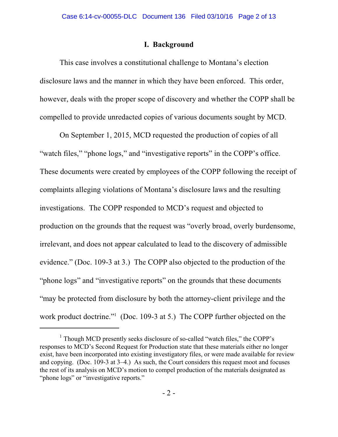## **I. Background**

This case involves a constitutional challenge to Montana's election disclosure laws and the manner in which they have been enforced. This order, however, deals with the proper scope of discovery and whether the COPP shall be compelled to provide unredacted copies of various documents sought by MCD.

On September 1, 2015, MCD requested the production of copies of all "watch files," "phone logs," and "investigative reports" in the COPP's office. These documents were created by employees of the COPP following the receipt of complaints alleging violations of Montana's disclosure laws and the resulting investigations. The COPP responded to MCD's request and objected to production on the grounds that the request was "overly broad, overly burdensome, irrelevant, and does not appear calculated to lead to the discovery of admissible evidence." (Doc. 109-3 at 3.) The COPP also objected to the production of the "phone logs" and "investigative reports" on the grounds that these documents "may be protected from disclosure by both the attorney-client privilege and the work product doctrine." $109-3$  at 5.) The COPP further objected on the

 $1$  Though MCD presently seeks disclosure of so-called "watch files," the COPP's responses to MCD's Second Request for Production state that these materials either no longer exist, have been incorporated into existing investigatory files, or were made available for review and copying. (Doc. 109-3 at 3–4.) As such, the Court considers this request moot and focuses the rest of its analysis on MCD's motion to compel production of the materials designated as "phone logs" or "investigative reports."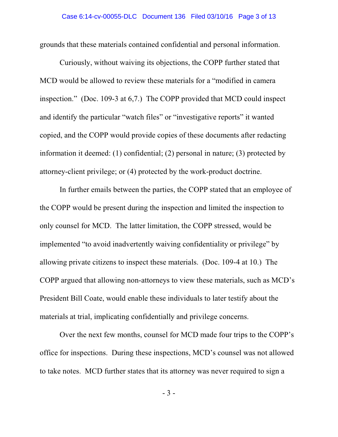grounds that these materials contained confidential and personal information.

Curiously, without waiving its objections, the COPP further stated that MCD would be allowed to review these materials for a "modified in camera inspection." (Doc. 109-3 at 6,7.) The COPP provided that MCD could inspect and identify the particular "watch files" or "investigative reports" it wanted copied, and the COPP would provide copies of these documents after redacting information it deemed: (1) confidential; (2) personal in nature; (3) protected by attorney-client privilege; or (4) protected by the work-product doctrine.

In further emails between the parties, the COPP stated that an employee of the COPP would be present during the inspection and limited the inspection to only counsel for MCD. The latter limitation, the COPP stressed, would be implemented "to avoid inadvertently waiving confidentiality or privilege" by allowing private citizens to inspect these materials. (Doc. 109-4 at 10.) The COPP argued that allowing non-attorneys to view these materials, such as MCD's President Bill Coate, would enable these individuals to later testify about the materials at trial, implicating confidentially and privilege concerns.

Over the next few months, counsel for MCD made four trips to the COPP's office for inspections. During these inspections, MCD's counsel was not allowed to take notes. MCD further states that its attorney was never required to sign a

- 3 -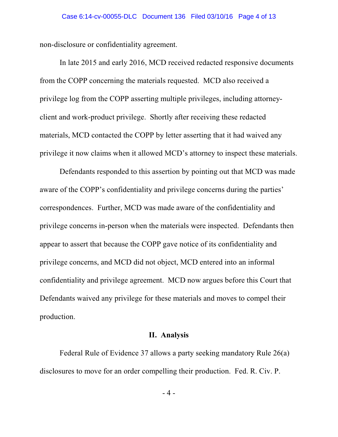non-disclosure or confidentiality agreement.

In late 2015 and early 2016, MCD received redacted responsive documents from the COPP concerning the materials requested. MCD also received a privilege log from the COPP asserting multiple privileges, including attorneyclient and work-product privilege. Shortly after receiving these redacted materials, MCD contacted the COPP by letter asserting that it had waived any privilege it now claims when it allowed MCD's attorney to inspect these materials.

Defendants responded to this assertion by pointing out that MCD was made aware of the COPP's confidentiality and privilege concerns during the parties' correspondences. Further, MCD was made aware of the confidentiality and privilege concerns in-person when the materials were inspected. Defendants then appear to assert that because the COPP gave notice of its confidentiality and privilege concerns, and MCD did not object, MCD entered into an informal confidentiality and privilege agreement. MCD now argues before this Court that Defendants waived any privilege for these materials and moves to compel their production.

### **II. Analysis**

Federal Rule of Evidence 37 allows a party seeking mandatory Rule 26(a) disclosures to move for an order compelling their production. Fed. R. Civ. P.

- 4 -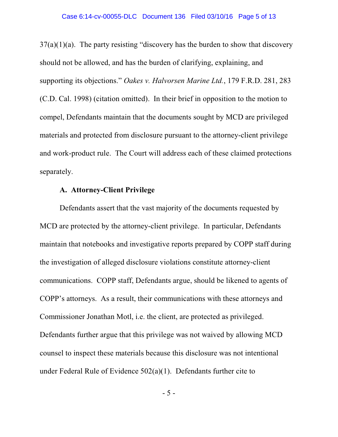$37(a)(1)(a)$ . The party resisting "discovery has the burden to show that discovery should not be allowed, and has the burden of clarifying, explaining, and supporting its objections." *Oakes v. Halvorsen Marine Ltd.*, 179 F.R.D. 281, 283 (C.D. Cal. 1998) (citation omitted). In their brief in opposition to the motion to compel, Defendants maintain that the documents sought by MCD are privileged materials and protected from disclosure pursuant to the attorney-client privilege and work-product rule. The Court will address each of these claimed protections separately.

### **A. Attorney-Client Privilege**

Defendants assert that the vast majority of the documents requested by MCD are protected by the attorney-client privilege. In particular, Defendants maintain that notebooks and investigative reports prepared by COPP staff during the investigation of alleged disclosure violations constitute attorney-client communications. COPP staff, Defendants argue, should be likened to agents of COPP's attorneys. As a result, their communications with these attorneys and Commissioner Jonathan Motl, i.e. the client, are protected as privileged. Defendants further argue that this privilege was not waived by allowing MCD counsel to inspect these materials because this disclosure was not intentional under Federal Rule of Evidence 502(a)(1). Defendants further cite to

- 5 -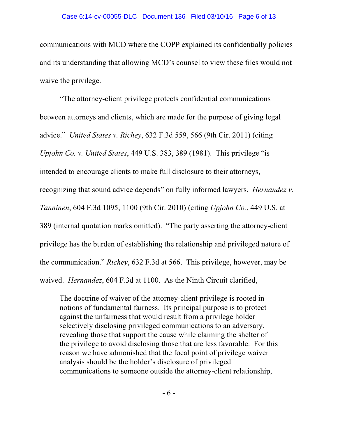communications with MCD where the COPP explained its confidentially policies and its understanding that allowing MCD's counsel to view these files would not waive the privilege.

"The attorney-client privilege protects confidential communications between attorneys and clients, which are made for the purpose of giving legal advice." *United States v. Richey*, 632 F.3d 559, 566 (9th Cir. 2011) (citing *Upjohn Co. v. United States*, 449 U.S. 383, 389 (1981). This privilege "is intended to encourage clients to make full disclosure to their attorneys, recognizing that sound advice depends" on fully informed lawyers. *Hernandez v. Tanninen*, 604 F.3d 1095, 1100 (9th Cir. 2010) (citing *Upjohn Co.*, 449 U.S. at 389 (internal quotation marks omitted). "The party asserting the attorney-client privilege has the burden of establishing the relationship and privileged nature of the communication." *Richey*, 632 F.3d at 566. This privilege, however, may be waived. *Hernandez*, 604 F.3d at 1100. As the Ninth Circuit clarified,

The doctrine of waiver of the attorney-client privilege is rooted in notions of fundamental fairness. Its principal purpose is to protect against the unfairness that would result from a privilege holder selectively disclosing privileged communications to an adversary, revealing those that support the cause while claiming the shelter of the privilege to avoid disclosing those that are less favorable. For this reason we have admonished that the focal point of privilege waiver analysis should be the holder's disclosure of privileged communications to someone outside the attorney-client relationship,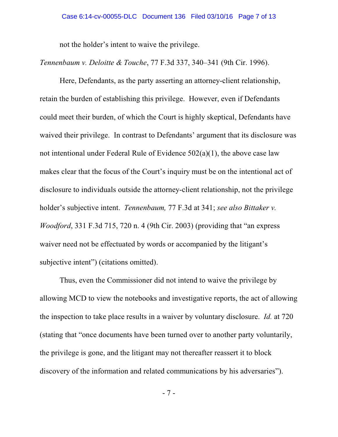not the holder's intent to waive the privilege.

*Tennenbaum v. Deloitte & Touche*, 77 F.3d 337, 340–341 (9th Cir. 1996).

Here, Defendants, as the party asserting an attorney-client relationship, retain the burden of establishing this privilege. However, even if Defendants could meet their burden, of which the Court is highly skeptical, Defendants have waived their privilege. In contrast to Defendants' argument that its disclosure was not intentional under Federal Rule of Evidence 502(a)(1), the above case law makes clear that the focus of the Court's inquiry must be on the intentional act of disclosure to individuals outside the attorney-client relationship, not the privilege holder's subjective intent. *Tennenbaum,* 77 F.3d at 341; *see also Bittaker v. Woodford*, 331 F.3d 715, 720 n. 4 (9th Cir. 2003) (providing that "an express waiver need not be effectuated by words or accompanied by the litigant's subjective intent") (citations omitted).

Thus, even the Commissioner did not intend to waive the privilege by allowing MCD to view the notebooks and investigative reports, the act of allowing the inspection to take place results in a waiver by voluntary disclosure. *Id.* at 720 (stating that "once documents have been turned over to another party voluntarily, the privilege is gone, and the litigant may not thereafter reassert it to block discovery of the information and related communications by his adversaries").

- 7 -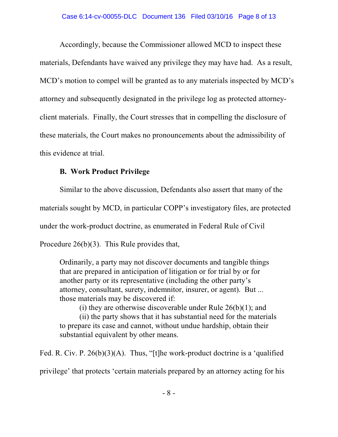Accordingly, because the Commissioner allowed MCD to inspect these materials, Defendants have waived any privilege they may have had. As a result, MCD's motion to compel will be granted as to any materials inspected by MCD's attorney and subsequently designated in the privilege log as protected attorneyclient materials. Finally, the Court stresses that in compelling the disclosure of these materials, the Court makes no pronouncements about the admissibility of this evidence at trial.

## **B. Work Product Privilege**

Similar to the above discussion, Defendants also assert that many of the materials sought by MCD, in particular COPP's investigatory files, are protected under the work-product doctrine, as enumerated in Federal Rule of Civil Procedure 26(b)(3). This Rule provides that,

Ordinarily, a party may not discover documents and tangible things that are prepared in anticipation of litigation or for trial by or for another party or its representative (including the other party's attorney, consultant, surety, indemnitor, insurer, or agent). But ... those materials may be discovered if:

(i) they are otherwise discoverable under Rule  $26(b)(1)$ ; and

(ii) the party shows that it has substantial need for the materials to prepare its case and cannot, without undue hardship, obtain their substantial equivalent by other means.

Fed. R. Civ. P. 26(b)(3)(A). Thus, "[t]he work-product doctrine is a 'qualified privilege' that protects 'certain materials prepared by an attorney acting for his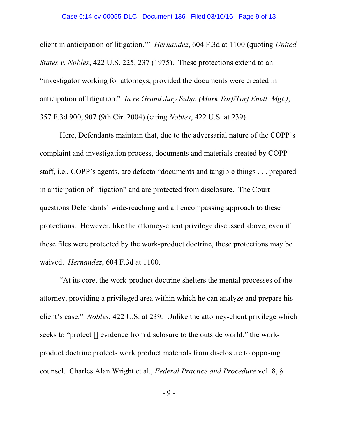#### Case 6:14-cv-00055-DLC Document 136 Filed 03/10/16 Page 9 of 13

client in anticipation of litigation.'" *Hernandez*, 604 F.3d at 1100 (quoting *United States v. Nobles*, 422 U.S. 225, 237 (1975). These protections extend to an "investigator working for attorneys, provided the documents were created in anticipation of litigation." *In re Grand Jury Subp. (Mark Torf/Torf Envtl. Mgt.)*, 357 F.3d 900, 907 (9th Cir. 2004) (citing *Nobles*, 422 U.S. at 239).

Here, Defendants maintain that, due to the adversarial nature of the COPP's complaint and investigation process, documents and materials created by COPP staff, i.e., COPP's agents, are defacto "documents and tangible things . . . prepared in anticipation of litigation" and are protected from disclosure. The Court questions Defendants' wide-reaching and all encompassing approach to these protections. However, like the attorney-client privilege discussed above, even if these files were protected by the work-product doctrine, these protections may be waived. *Hernandez*, 604 F.3d at 1100.

"At its core, the work-product doctrine shelters the mental processes of the attorney, providing a privileged area within which he can analyze and prepare his client's case." *Nobles*, 422 U.S. at 239. Unlike the attorney-client privilege which seeks to "protect [] evidence from disclosure to the outside world," the workproduct doctrine protects work product materials from disclosure to opposing counsel. Charles Alan Wright et al., *Federal Practice and Procedure* vol. 8, §

- 9 -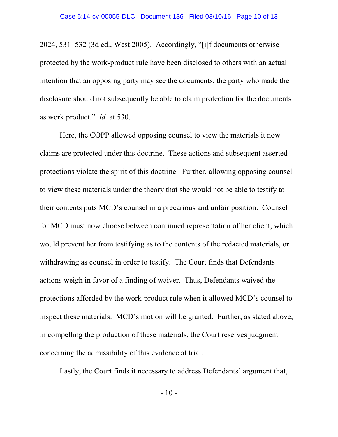2024, 531–532 (3d ed., West 2005). Accordingly, "[i]f documents otherwise protected by the work-product rule have been disclosed to others with an actual intention that an opposing party may see the documents, the party who made the disclosure should not subsequently be able to claim protection for the documents as work product." *Id.* at 530.

Here, the COPP allowed opposing counsel to view the materials it now claims are protected under this doctrine. These actions and subsequent asserted protections violate the spirit of this doctrine. Further, allowing opposing counsel to view these materials under the theory that she would not be able to testify to their contents puts MCD's counsel in a precarious and unfair position. Counsel for MCD must now choose between continued representation of her client, which would prevent her from testifying as to the contents of the redacted materials, or withdrawing as counsel in order to testify. The Court finds that Defendants actions weigh in favor of a finding of waiver. Thus, Defendants waived the protections afforded by the work-product rule when it allowed MCD's counsel to inspect these materials. MCD's motion will be granted. Further, as stated above, in compelling the production of these materials, the Court reserves judgment concerning the admissibility of this evidence at trial.

Lastly, the Court finds it necessary to address Defendants' argument that,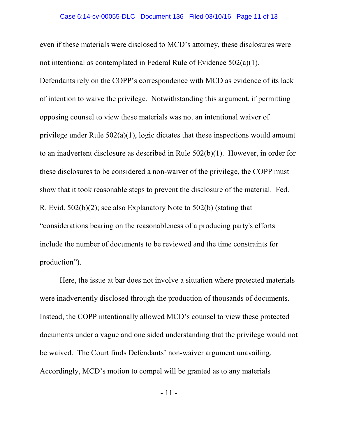even if these materials were disclosed to MCD's attorney, these disclosures were not intentional as contemplated in Federal Rule of Evidence 502(a)(1). Defendants rely on the COPP's correspondence with MCD as evidence of its lack of intention to waive the privilege. Notwithstanding this argument, if permitting opposing counsel to view these materials was not an intentional waiver of privilege under Rule 502(a)(1), logic dictates that these inspections would amount to an inadvertent disclosure as described in Rule 502(b)(1). However, in order for these disclosures to be considered a non-waiver of the privilege, the COPP must show that it took reasonable steps to prevent the disclosure of the material. Fed. R. Evid. 502(b)(2); see also Explanatory Note to 502(b) (stating that "considerations bearing on the reasonableness of a producing party's efforts include the number of documents to be reviewed and the time constraints for production").

Here, the issue at bar does not involve a situation where protected materials were inadvertently disclosed through the production of thousands of documents. Instead, the COPP intentionally allowed MCD's counsel to view these protected documents under a vague and one sided understanding that the privilege would not be waived. The Court finds Defendants' non-waiver argument unavailing. Accordingly, MCD's motion to compel will be granted as to any materials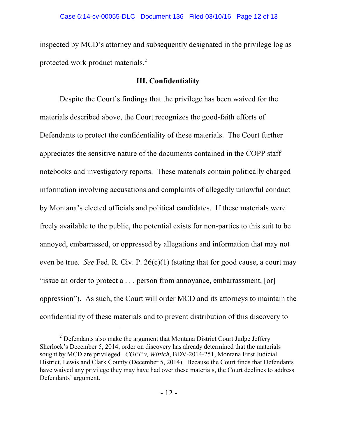inspected by MCD's attorney and subsequently designated in the privilege log as protected work product materials.<sup>2</sup>

#### **III. Confidentiality**

Despite the Court's findings that the privilege has been waived for the materials described above, the Court recognizes the good-faith efforts of Defendants to protect the confidentiality of these materials. The Court further appreciates the sensitive nature of the documents contained in the COPP staff notebooks and investigatory reports. These materials contain politically charged information involving accusations and complaints of allegedly unlawful conduct by Montana's elected officials and political candidates. If these materials were freely available to the public, the potential exists for non-parties to this suit to be annoyed, embarrassed, or oppressed by allegations and information that may not even be true. *See* Fed. R. Civ. P. 26(c)(1) (stating that for good cause, a court may "issue an order to protect a . . . person from annoyance, embarrassment, [or] oppression"). As such, the Court will order MCD and its attorneys to maintain the confidentiality of these materials and to prevent distribution of this discovery to

 $2$  Defendants also make the argument that Montana District Court Judge Jeffery Sherlock's December 5, 2014, order on discovery has already determined that the materials sought by MCD are privileged. *COPP v, Wittich*, BDV-2014-251, Montana First Judicial District, Lewis and Clark County (December 5, 2014). Because the Court finds that Defendants have waived any privilege they may have had over these materials, the Court declines to address Defendants' argument.